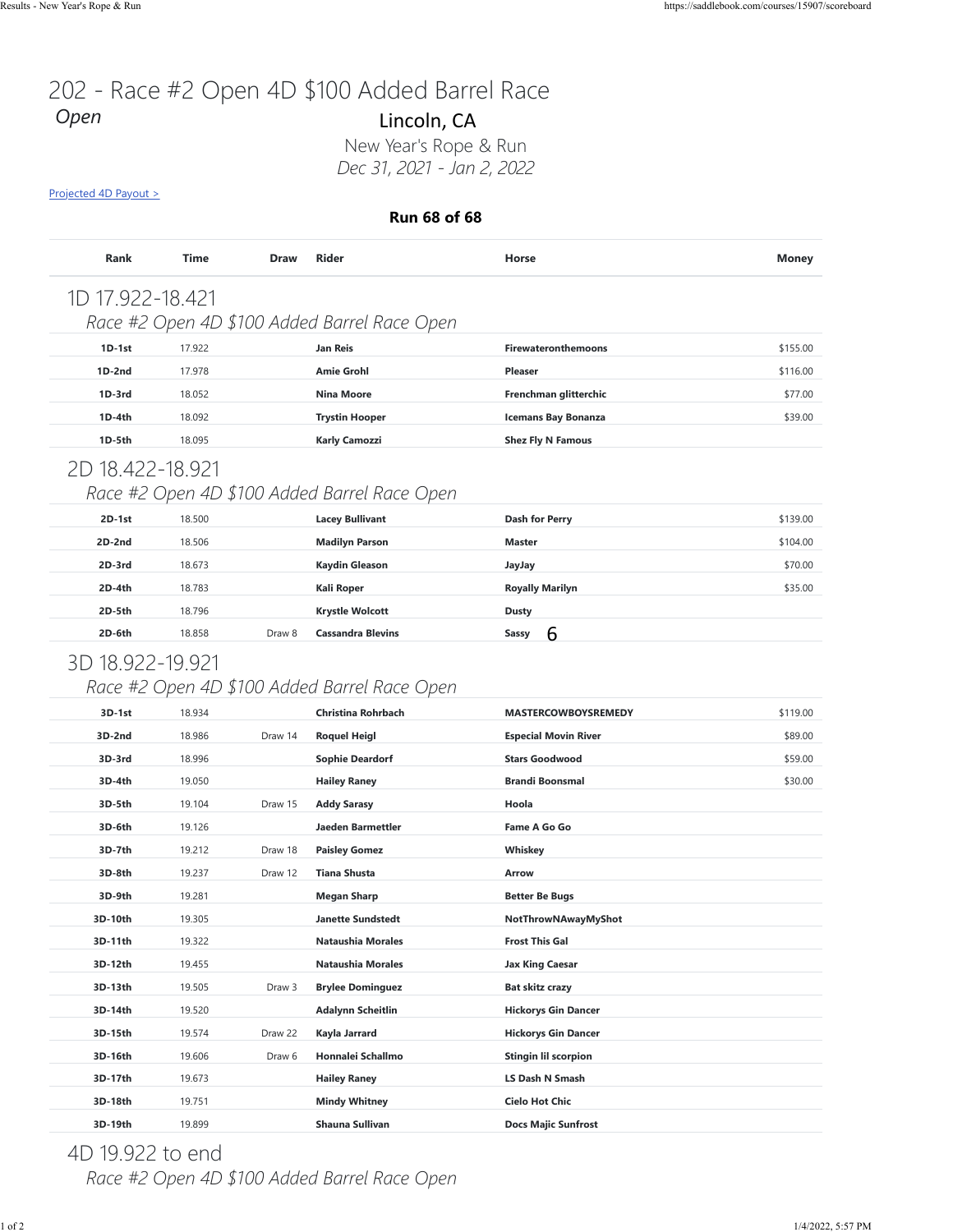# 202 - Race #2 Open 4D \$100 Added Barrel Race *Open*

#### **Run 68 of 68**

| <b>Rank</b>      | <b>Time</b> | <b>Draw</b> | <b>Rider</b>                                 | Horse                      | <b>Money</b> |
|------------------|-------------|-------------|----------------------------------------------|----------------------------|--------------|
| 1D 17.922-18.421 |             |             | Race #2 Open 4D \$100 Added Barrel Race Open |                            |              |
| $1D-1st$         | 17.922      |             | <b>Jan Reis</b>                              | <b>Firewateronthemoons</b> | \$155.00     |
| $1D-2nd$         | 17.978      |             | <b>Amie Grohl</b>                            | <b>Pleaser</b>             | \$116.00     |
| 1D-3rd           | 18.052      |             | <b>Nina Moore</b>                            | Frenchman glitterchic      | \$77.00      |
| $1D-4th$         | 18.092      |             | <b>Trystin Hooper</b>                        | <b>Icemans Bay Bonanza</b> | \$39.00      |
| 1D-5th           | 18.095      |             | <b>Karly Camozzi</b>                         | <b>Shez Fly N Famous</b>   |              |
| 2D 18.422-18.921 |             |             |                                              |                            |              |
|                  |             |             | Race #2 Open 4D \$100 Added Barrel Race Open |                            |              |
| $2D-1st$         | 18.500      |             | <b>Lacey Bullivant</b>                       | Dash for Perry             | \$139.00     |
| $2D-2nd$         | 18.506      |             | <b>Madilyn Parson</b>                        | <b>Master</b>              | \$104.00     |
| 2D-3rd           | 18.673      |             | <b>Kaydin Gleason</b>                        | JayJay                     | \$70.00      |
| $2D-4th$         | 18.783      |             | <b>Kali Roper</b>                            | <b>Royally Marilyn</b>     | \$35.00      |
| 2D-5th           | 18.796      |             | <b>Krystle Wolcott</b>                       | Dusty                      |              |

#### 3D 18.922-19.921

### *Race #2 Open 4D \$100 Added Barrel Race Open*

|                            |             |             | <b>Run 68 of 68</b>                                                       |                             |              |
|----------------------------|-------------|-------------|---------------------------------------------------------------------------|-----------------------------|--------------|
| Rank                       | <b>Time</b> | <b>Draw</b> | <b>Rider</b>                                                              | Horse                       | <b>Money</b> |
| 1D 17.922-18.421           |             |             |                                                                           |                             |              |
|                            |             |             | Race #2 Open 4D \$100 Added Barrel Race Open                              |                             |              |
| 1D-1st                     | 17.922      |             | Jan Reis                                                                  | <b>Firewateronthemoons</b>  | \$155.00     |
| $1D-2nd$                   | 17.978      |             | <b>Amie Grohl</b>                                                         | <b>Pleaser</b>              | \$116.00     |
| $1D-3rd$                   | 18.052      |             | <b>Nina Moore</b>                                                         | Frenchman glitterchic       | \$77.00      |
| 1D-4th                     | 18.092      |             | <b>Trystin Hooper</b>                                                     | <b>Icemans Bay Bonanza</b>  | \$39.00      |
| 1D-5th                     | 18.095      |             | Karly Camozzi                                                             | <b>Shez Fly N Famous</b>    |              |
| 2D 18.422-18.921           |             |             | Race #2 Open 4D \$100 Added Barrel Race Open                              |                             |              |
| 2D-1st                     | 18.500      |             | <b>Lacey Bullivant</b>                                                    | <b>Dash for Perry</b>       | \$139.00     |
| 2D-2nd                     | 18.506      |             | <b>Madilyn Parson</b>                                                     | <b>Master</b>               | \$104.00     |
| 2D-3rd                     | 18.673      |             | <b>Kaydin Gleason</b>                                                     | JayJay                      | \$70.00      |
| 2D-4th                     | 18.783      |             | Kali Roper                                                                | <b>Royally Marilyn</b>      | \$35.00      |
| 2D-5th                     | 18.796      |             | <b>Krystle Wolcott</b>                                                    | <b>Dusty</b><br>6           |              |
| 3D 18.922-19.921<br>3D-1st | 18.934      |             | Race #2 Open 4D \$100 Added Barrel Race Open<br><b>Christina Rohrbach</b> | <b>MASTERCOWBOYSREMEDY</b>  | \$119.00     |
| 3D-2nd                     | 18.986      | Draw 14     | <b>Roquel Heigl</b>                                                       | <b>Especial Movin River</b> | \$89.00      |
| 3D-3rd                     | 18.996      |             | <b>Sophie Deardorf</b>                                                    | <b>Stars Goodwood</b>       | \$59.00      |
| 3D-4th                     | 19.050      |             | <b>Hailey Raney</b>                                                       | <b>Brandi Boonsmal</b>      | \$30.00      |
| 3D-5th                     | 19.104      | Draw 15     | <b>Addy Sarasy</b>                                                        | Hoola                       |              |
| 3D-6th                     | 19.126      |             | Jaeden Barmettler                                                         | Fame A Go Go                |              |
| 3D-7th                     | 19.212      | Draw 18     | <b>Paisley Gomez</b>                                                      | Whiskey                     |              |
| 3D-8th                     | 19.237      | Draw 12     | <b>Tiana Shusta</b>                                                       | Arrow                       |              |
| 3D-9th                     | 19.281      |             | <b>Megan Sharp</b>                                                        | <b>Better Be Bugs</b>       |              |
| 3D-10th                    | 19.305      |             | <b>Janette Sundstedt</b>                                                  | NotThrowNAwayMyShot         |              |
| 3D-11th                    | 19.322      |             | <b>Nataushia Morales</b>                                                  | <b>Frost This Gal</b>       |              |
| 3D-12th                    | 19.455      |             | <b>Nataushia Morales</b>                                                  | Jax King Caesar             |              |
| 3D-13th                    | 19.505      | Draw 3      | <b>Brylee Dominguez</b>                                                   | Bat skitz crazy             |              |
| 3D-14th                    | 19.520      |             | <b>Adalynn Scheitlin</b>                                                  | <b>Hickorys Gin Dancer</b>  |              |
| 3D-15th                    | 19.574      | Draw 22     | Kayla Jarrard                                                             | <b>Hickorys Gin Dancer</b>  |              |
| 3D-16th                    | 19.606      | Draw 6      | Honnalei Schallmo                                                         | <b>Stingin lil scorpion</b> |              |
| 3D-17th                    | 19.673      |             | <b>Hailey Raney</b>                                                       | LS Dash N Smash             |              |
|                            | 19.751      |             | Mindy Whitney                                                             | <b>Cielo Hot Chic</b>       |              |
| 3D-18th                    |             |             |                                                                           |                             |              |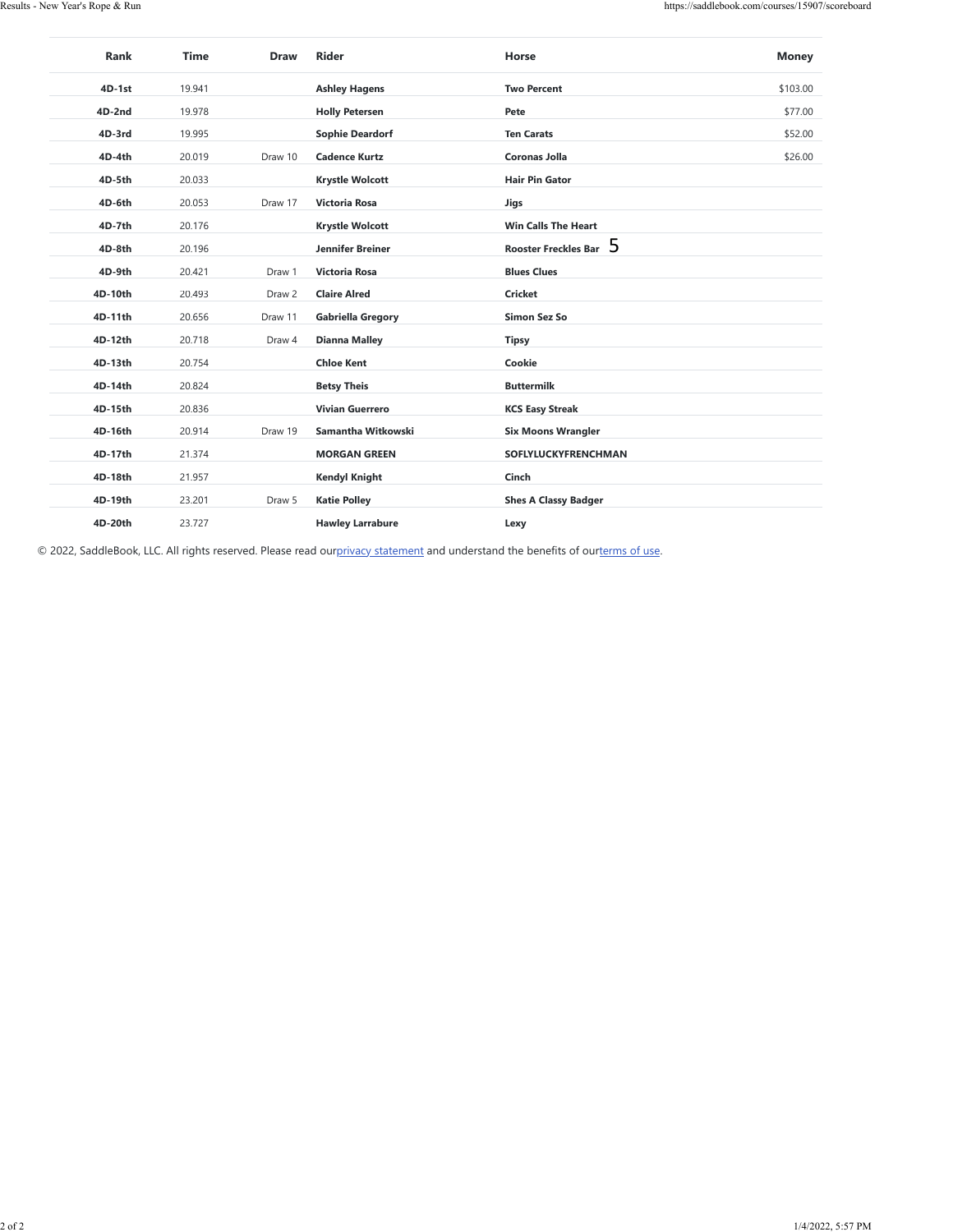| $4D-1st$           | 19.941           |         | <b>Ashley Hagens</b>                         | <b>Two Percent</b>                               | \$103.00 |
|--------------------|------------------|---------|----------------------------------------------|--------------------------------------------------|----------|
| 4D-2nd             | 19.978           |         | <b>Holly Petersen</b>                        | Pete                                             | \$77.00  |
| 4D-3rd             | 19.995           |         | <b>Sophie Deardorf</b>                       | <b>Ten Carats</b>                                | \$52.00  |
| 4D-4th             | 20.019           | Draw 10 | <b>Cadence Kurtz</b>                         | Coronas Jolla                                    | \$26.00  |
| 4D-5th             | 20.033           |         | <b>Krystle Wolcott</b>                       | <b>Hair Pin Gator</b>                            |          |
| 4D-6th             | 20.053           | Draw 17 | Victoria Rosa                                | Jigs                                             |          |
| 4D-7th             | 20.176           |         | <b>Krystle Wolcott</b>                       | Win Calls The Heart<br>Rooster Freckles Bar 5    |          |
| 4D-8th             | 20.196           |         | Jennifer Breiner                             |                                                  |          |
| 4D-9th             | 20.421           | Draw 1  | Victoria Rosa                                | <b>Blues Clues</b>                               |          |
| 4D-10th            | 20.493           | Draw 2  | <b>Claire Alred</b>                          | <b>Cricket</b>                                   |          |
| 4D-11th            | 20.656           | Draw 11 | <b>Gabriella Gregory</b>                     | Simon Sez So                                     |          |
| 4D-12th<br>4D-13th | 20.718<br>20.754 | Draw 4  | <b>Dianna Malley</b><br><b>Chloe Kent</b>    | <b>Tipsy</b><br>Cookie                           |          |
|                    |                  |         |                                              |                                                  |          |
| 4D-14th<br>4D-15th | 20.824<br>20.836 |         | <b>Betsy Theis</b><br><b>Vivian Guerrero</b> | <b>Buttermilk</b><br><b>KCS Easy Streak</b>      |          |
|                    | 20.914           | Draw 19 | Samantha Witkowski                           |                                                  |          |
| 4D-16th<br>4D-17th | 21.374           |         | <b>MORGAN GREEN</b>                          | <b>Six Moons Wrangler</b><br>SOFLYLUCKYFRENCHMAN |          |
| 4D-18th            | 21.957           |         | <b>Kendyl Knight</b>                         | Cinch                                            |          |
| 4D-19th            | 23.201           | Draw 5  | <b>Katie Polley</b>                          | <b>Shes A Classy Badger</b>                      |          |
| 4D-20th            | 23.727           |         | <b>Hawley Larrabure</b>                      | Lexy                                             |          |
|                    |                  |         |                                              |                                                  |          |
|                    |                  |         |                                              |                                                  |          |
|                    |                  |         |                                              |                                                  |          |
|                    |                  |         |                                              |                                                  |          |
|                    |                  |         |                                              |                                                  |          |
|                    |                  |         |                                              |                                                  |          |
|                    |                  |         |                                              |                                                  |          |
|                    |                  |         |                                              |                                                  |          |
|                    |                  |         |                                              |                                                  |          |
|                    |                  |         |                                              |                                                  |          |
|                    |                  |         |                                              |                                                  |          |
|                    |                  |         |                                              |                                                  |          |
|                    |                  |         |                                              |                                                  |          |
|                    |                  |         |                                              |                                                  |          |
|                    |                  |         |                                              |                                                  |          |
|                    |                  |         |                                              |                                                  |          |
|                    |                  |         |                                              |                                                  |          |
|                    |                  |         |                                              |                                                  |          |
|                    |                  |         |                                              |                                                  |          |
|                    |                  |         |                                              |                                                  |          |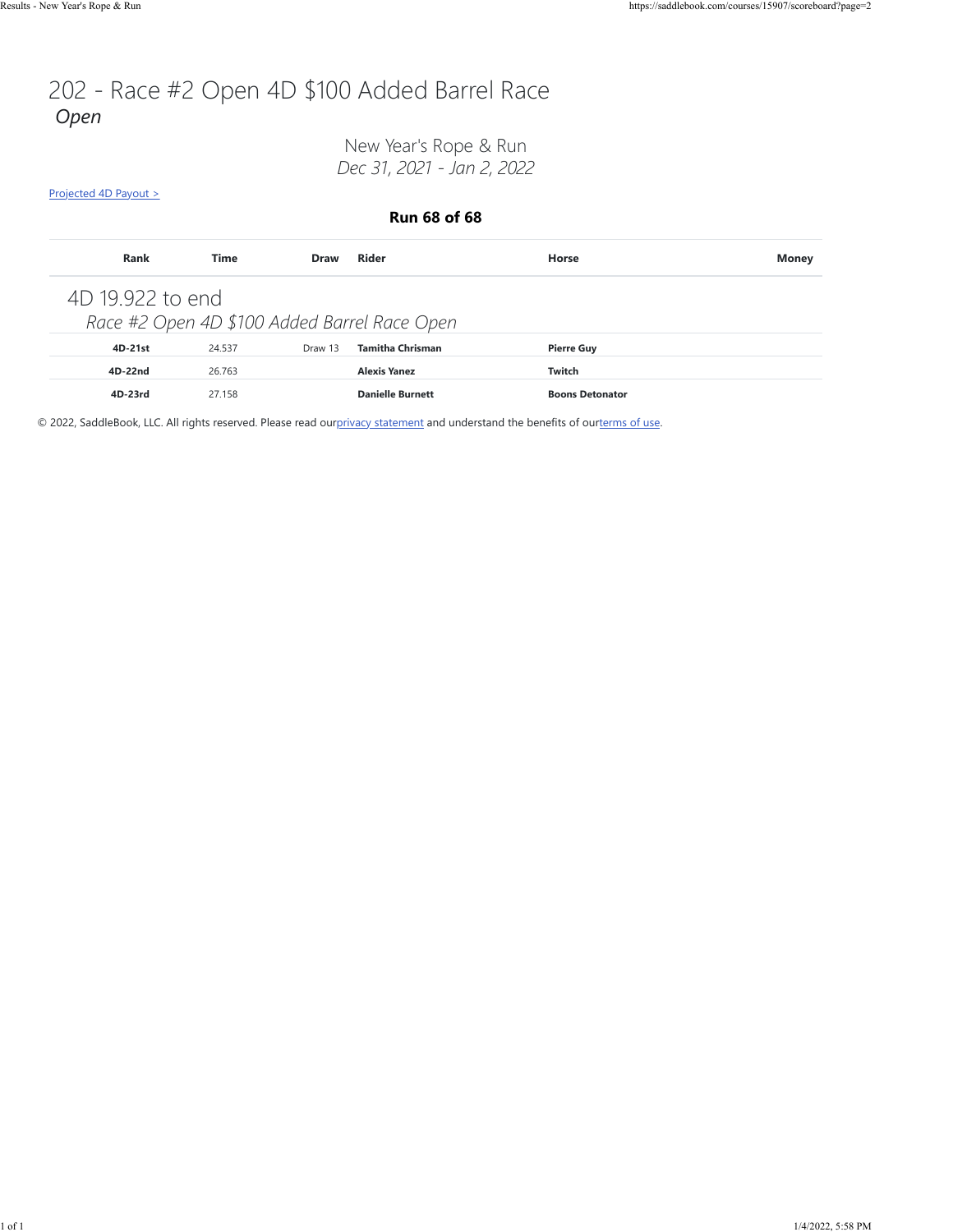## 202 - Race #2 Open 4D \$100 Added Barrel Race *Open*

New Year's Rope & Run *Dec 31, 2021 - Jan 2, 2022*

[Projected 4D Payout >](https://saddlebook.com/courses/15907/scoreboard?page=2#payout-projection-15907)

**Run 68 of 68**

| Rank             | Time   | <b>Draw</b> | Rider                                        | Horse                  | <b>Money</b> |
|------------------|--------|-------------|----------------------------------------------|------------------------|--------------|
| 4D 19.922 to end |        |             | Race #2 Open 4D \$100 Added Barrel Race Open |                        |              |
| 4D-21st          | 24.537 | Draw 13     | <b>Tamitha Chrisman</b>                      | <b>Pierre Guy</b>      |              |
| 4D-22nd          | 26.763 |             | <b>Alexis Yanez</b>                          | Twitch                 |              |
| 4D-23rd          | 27.158 |             | <b>Danielle Burnett</b>                      | <b>Boons Detonator</b> |              |

© 2022, SaddleBook, LLC. All rights reserved. Please read ou[rprivacy statement](https://saddlebook.com/privacy_policy) and understand the benefits of our[terms of use.](https://saddlebook.com/user_agreement)